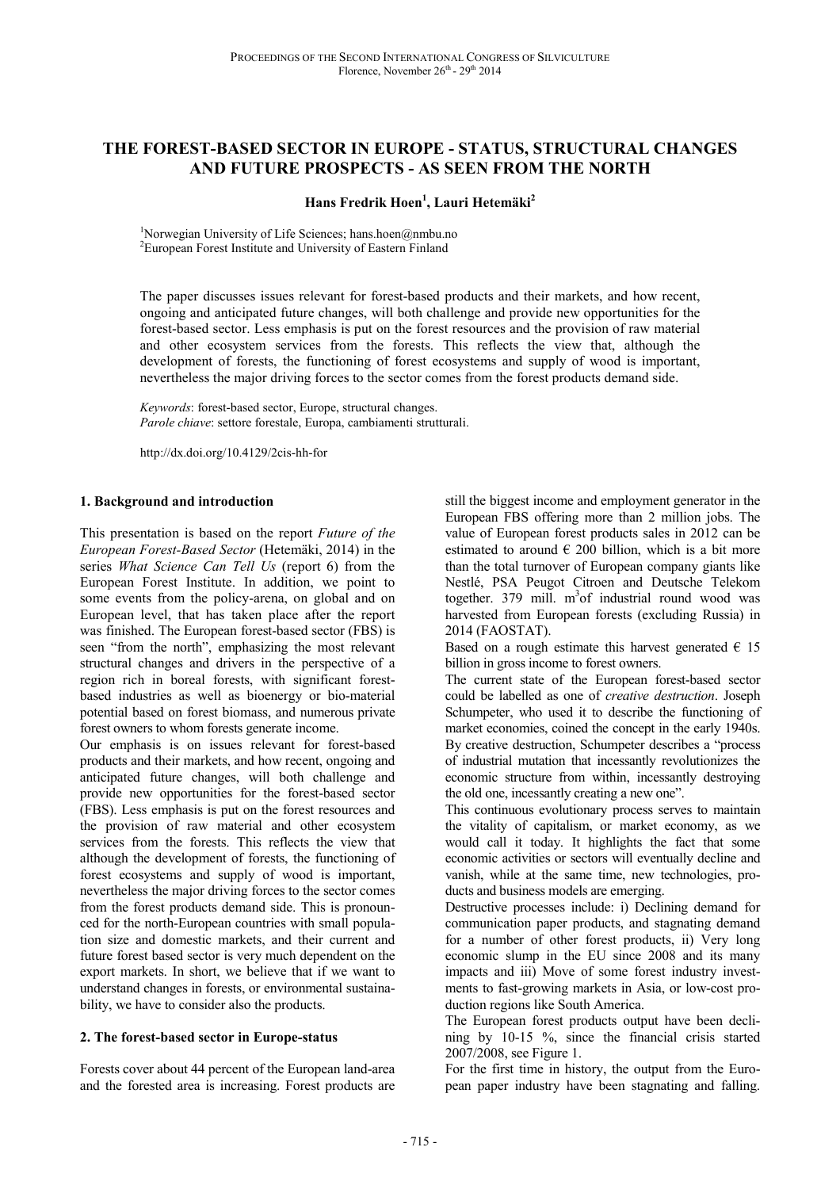# **THE FOREST-BASED SECTOR IN EUROPE - STATUS, STRUCTURAL CHANGES AND FUTURE PROSPECTS - AS SEEN FROM THE NORTH**

### **Hans Fredrik Hoen<sup>1</sup> , Lauri Hetemäki<sup>2</sup>**

<sup>1</sup>Norwegian University of Life Sciences; hans.hoen@nmbu.no <sup>2</sup>European Forest Institute and University of Eastern Finland

The paper discusses issues relevant for forest-based products and their markets, and how recent, ongoing and anticipated future changes, will both challenge and provide new opportunities for the forest-based sector. Less emphasis is put on the forest resources and the provision of raw material and other ecosystem services from the forests. This reflects the view that, although the development of forests, the functioning of forest ecosystems and supply of wood is important, nevertheless the major driving forces to the sector comes from the forest products demand side.

*Keywords*: forest-based sector, Europe, structural changes. *Parole chiave*: settore forestale, Europa, cambiamenti strutturali.

http://dx.doi.org/10.4129/2cis-hh-for

#### **1. Background and introduction**

This presentation is based on the report *Future of the European Forest-Based Sector* (Hetemäki, 2014) in the series *What Science Can Tell Us* (report 6) from the European Forest Institute. In addition, we point to some events from the policy-arena, on global and on European level, that has taken place after the report was finished. The European forest-based sector (FBS) is seen "from the north", emphasizing the most relevant structural changes and drivers in the perspective of a region rich in boreal forests, with significant forestbased industries as well as bioenergy or bio-material potential based on forest biomass, and numerous private forest owners to whom forests generate income.

Our emphasis is on issues relevant for forest-based products and their markets, and how recent, ongoing and anticipated future changes, will both challenge and provide new opportunities for the forest-based sector (FBS). Less emphasis is put on the forest resources and the provision of raw material and other ecosystem services from the forests. This reflects the view that although the development of forests, the functioning of forest ecosystems and supply of wood is important, nevertheless the major driving forces to the sector comes from the forest products demand side. This is pronounced for the north-European countries with small population size and domestic markets, and their current and future forest based sector is very much dependent on the export markets. In short, we believe that if we want to understand changes in forests, or environmental sustainability, we have to consider also the products.

### **2. The forest-based sector in Europe-status**

Forests cover about 44 percent of the European land-area and the forested area is increasing. Forest products are still the biggest income and employment generator in the European FBS offering more than 2 million jobs. The value of European forest products sales in 2012 can be estimated to around  $\epsilon$  200 billion, which is a bit more than the total turnover of European company giants like Nestlé, PSA Peugot Citroen and Deutsche Telekom together. 379 mill.  $m^3$ of industrial round wood was harvested from European forests (excluding Russia) in 2014 (FAOSTAT).

Based on a rough estimate this harvest generated  $\epsilon$  15 billion in gross income to forest owners.

The current state of the European forest-based sector could be labelled as one of *creative destruction*. Joseph Schumpeter, who used it to describe the functioning of market economies, coined the concept in the early 1940s. By creative destruction, Schumpeter describes a "process of industrial mutation that incessantly revolutionizes the economic structure from within, incessantly destroying the old one, incessantly creating a new one".

This continuous evolutionary process serves to maintain the vitality of capitalism, or market economy, as we would call it today. It highlights the fact that some economic activities or sectors will eventually decline and vanish, while at the same time, new technologies, products and business models are emerging.

Destructive processes include: i) Declining demand for communication paper products, and stagnating demand for a number of other forest products, ii) Very long economic slump in the EU since 2008 and its many impacts and iii) Move of some forest industry investments to fast-growing markets in Asia, or low-cost production regions like South America.

The European forest products output have been declining by 10-15 %, since the financial crisis started 2007/2008, see Figure 1.

For the first time in history, the output from the European paper industry have been stagnating and falling.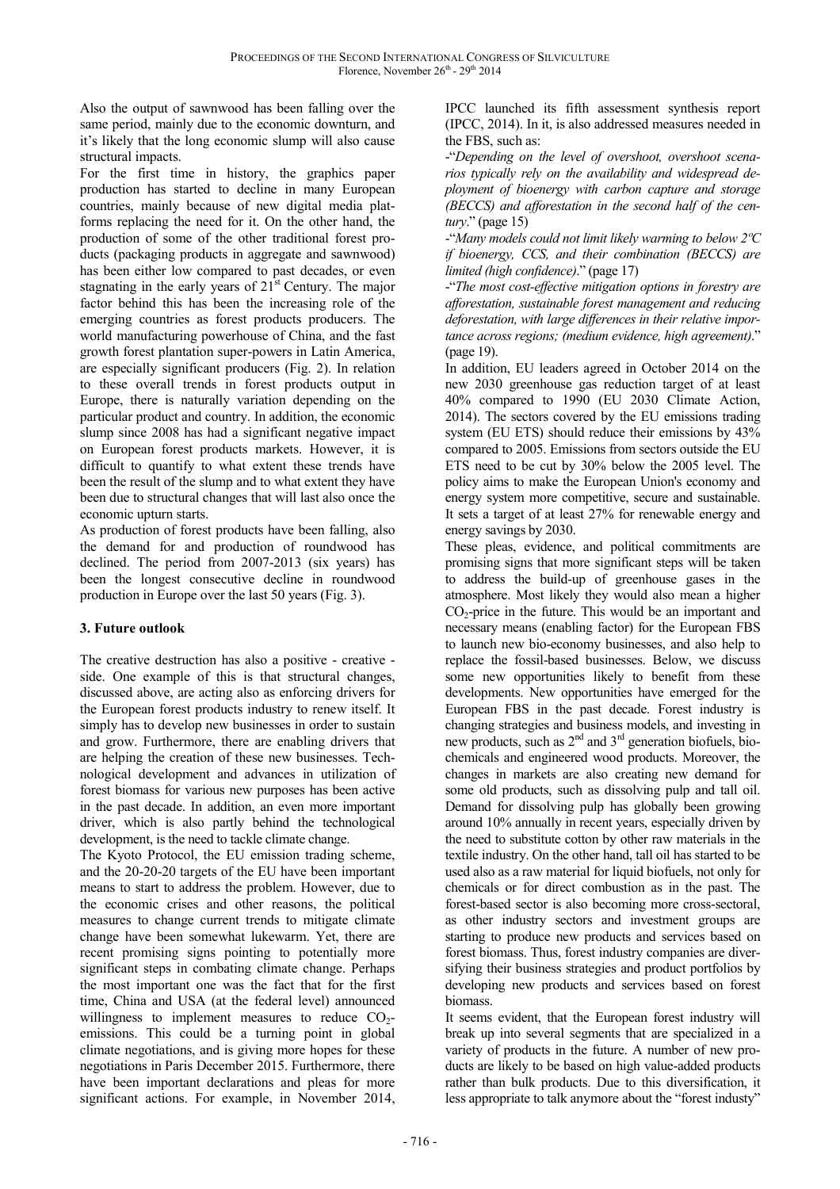Also the output of sawnwood has been falling over the same period, mainly due to the economic downturn, and it's likely that the long economic slump will also cause structural impacts.

For the first time in history, the graphics paper production has started to decline in many European countries, mainly because of new digital media platforms replacing the need for it. On the other hand, the production of some of the other traditional forest products (packaging products in aggregate and sawnwood) has been either low compared to past decades, or even stagnating in the early years of  $21<sup>st</sup>$  Century. The major factor behind this has been the increasing role of the emerging countries as forest products producers. The world manufacturing powerhouse of China, and the fast growth forest plantation super-powers in Latin America, are especially significant producers (Fig. 2). In relation to these overall trends in forest products output in Europe, there is naturally variation depending on the particular product and country. In addition, the economic slump since 2008 has had a significant negative impact on European forest products markets. However, it is difficult to quantify to what extent these trends have been the result of the slump and to what extent they have been due to structural changes that will last also once the economic upturn starts.

As production of forest products have been falling, also the demand for and production of roundwood has declined. The period from 2007-2013 (six years) has been the longest consecutive decline in roundwood production in Europe over the last 50 years (Fig. 3).

# **3. Future outlook**

The creative destruction has also a positive - creative side. One example of this is that structural changes, discussed above, are acting also as enforcing drivers for the European forest products industry to renew itself. It simply has to develop new businesses in order to sustain and grow. Furthermore, there are enabling drivers that are helping the creation of these new businesses. Technological development and advances in utilization of forest biomass for various new purposes has been active in the past decade. In addition, an even more important driver, which is also partly behind the technological development, is the need to tackle climate change.

The Kyoto Protocol, the EU emission trading scheme, and the 20-20-20 targets of the EU have been important means to start to address the problem. However, due to the economic crises and other reasons, the political measures to change current trends to mitigate climate change have been somewhat lukewarm. Yet, there are recent promising signs pointing to potentially more significant steps in combating climate change. Perhaps the most important one was the fact that for the first time, China and USA (at the federal level) announced willingness to implement measures to reduce  $CO<sub>2</sub>$ emissions. This could be a turning point in global climate negotiations, and is giving more hopes for these negotiations in Paris December 2015. Furthermore, there have been important declarations and pleas for more significant actions. For example, in November 2014,

IPCC launched its fifth assessment synthesis report (IPCC, 2014). In it, is also addressed measures needed in the FBS, such as:

-"*Depending on the level of overshoot, overshoot scenarios typically rely on the availability and widespread deployment of bioenergy with carbon capture and storage (BECCS) and afforestation in the second half of the century*." (page 15)

-"*Many models could not limit likely warming to below 2ºC if bioenergy, CCS, and their combination (BECCS) are limited (high confidence)*." (page 17)

-"*The most cost-effective mitigation options in forestry are afforestation, sustainable forest management and reducing deforestation, with large differences in their relative importance across regions; (medium evidence, high agreement)*." (page 19).

In addition, EU leaders agreed in October 2014 on the new 2030 greenhouse gas reduction target of at least 40% compared to 1990 (EU 2030 Climate Action, 2014). The sectors covered by the EU emissions trading system (EU ETS) should reduce their emissions by 43% compared to 2005. Emissions from sectors outside the EU ETS need to be cut by 30% below the 2005 level. The policy aims to make the European Union's economy and energy system more competitive, secure and sustainable. It sets a target of at least 27% for renewable energy and energy savings by 2030.

These pleas, evidence, and political commitments are promising signs that more significant steps will be taken to address the build-up of greenhouse gases in the atmosphere. Most likely they would also mean a higher  $CO<sub>2</sub>$ -price in the future. This would be an important and necessary means (enabling factor) for the European FBS to launch new bio-economy businesses, and also help to replace the fossil-based businesses. Below, we discuss some new opportunities likely to benefit from these developments. New opportunities have emerged for the European FBS in the past decade. Forest industry is changing strategies and business models, and investing in new products, such as  $2<sup>nd</sup>$  and  $3<sup>rd</sup>$  generation biofuels, biochemicals and engineered wood products. Moreover, the changes in markets are also creating new demand for some old products, such as dissolving pulp and tall oil. Demand for dissolving pulp has globally been growing around 10% annually in recent years, especially driven by the need to substitute cotton by other raw materials in the textile industry. On the other hand, tall oil has started to be used also as a raw material for liquid biofuels, not only for chemicals or for direct combustion as in the past. The forest-based sector is also becoming more cross-sectoral, as other industry sectors and investment groups are starting to produce new products and services based on forest biomass. Thus, forest industry companies are diversifying their business strategies and product portfolios by developing new products and services based on forest biomass.

It seems evident, that the European forest industry will break up into several segments that are specialized in a variety of products in the future. A number of new products are likely to be based on high value-added products rather than bulk products. Due to this diversification, it less appropriate to talk anymore about the "forest industy"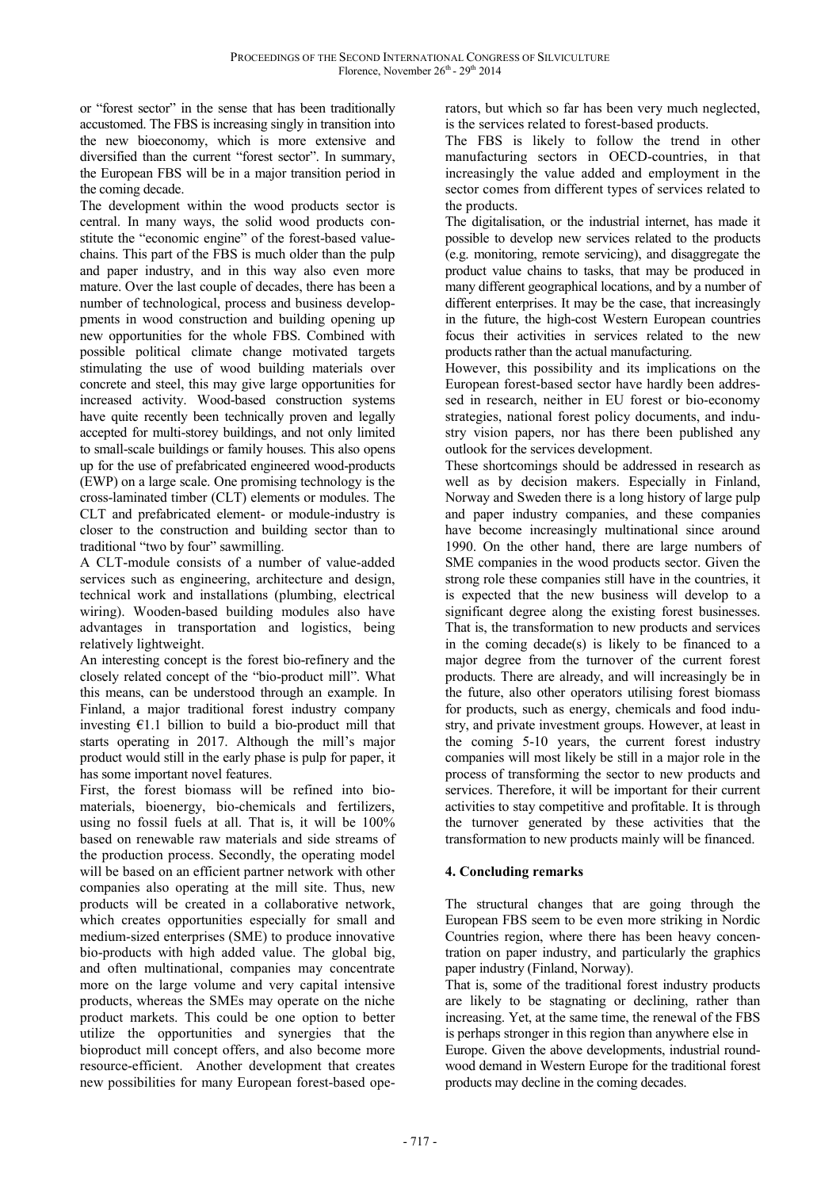or "forest sector" in the sense that has been traditionally accustomed. The FBS is increasing singly in transition into the new bioeconomy, which is more extensive and diversified than the current "forest sector". In summary, the European FBS will be in a major transition period in the coming decade.

The development within the wood products sector is central. In many ways, the solid wood products constitute the "economic engine" of the forest-based valuechains. This part of the FBS is much older than the pulp and paper industry, and in this way also even more mature. Over the last couple of decades, there has been a number of technological, process and business developpments in wood construction and building opening up new opportunities for the whole FBS. Combined with possible political climate change motivated targets stimulating the use of wood building materials over concrete and steel, this may give large opportunities for increased activity. Wood-based construction systems have quite recently been technically proven and legally accepted for multi-storey buildings, and not only limited to small-scale buildings or family houses. This also opens up for the use of prefabricated engineered wood-products (EWP) on a large scale. One promising technology is the cross-laminated timber (CLT) elements or modules. The CLT and prefabricated element- or module-industry is closer to the construction and building sector than to traditional "two by four" sawmilling.

A CLT-module consists of a number of value-added services such as engineering, architecture and design, technical work and installations (plumbing, electrical wiring). Wooden-based building modules also have advantages in transportation and logistics, being relatively lightweight.

An interesting concept is the forest bio-refinery and the closely related concept of the "bio-product mill". What this means, can be understood through an example. In Finland, a major traditional forest industry company investing  $E1.1$  billion to build a bio-product mill that starts operating in 2017. Although the mill's major product would still in the early phase is pulp for paper, it has some important novel features.

First, the forest biomass will be refined into biomaterials, bioenergy, bio-chemicals and fertilizers, using no fossil fuels at all. That is, it will be 100% based on renewable raw materials and side streams of the production process. Secondly, the operating model will be based on an efficient partner network with other companies also operating at the mill site. Thus, new products will be created in a collaborative network, which creates opportunities especially for small and medium-sized enterprises (SME) to produce innovative bio-products with high added value. The global big, and often multinational, companies may concentrate more on the large volume and very capital intensive products, whereas the SMEs may operate on the niche product markets. This could be one option to better utilize the opportunities and synergies that the bioproduct mill concept offers, and also become more resource-efficient. Another development that creates new possibilities for many European forest-based operators, but which so far has been very much neglected, is the services related to forest-based products.

The FBS is likely to follow the trend in other manufacturing sectors in OECD-countries, in that increasingly the value added and employment in the sector comes from different types of services related to the products.

The digitalisation, or the industrial internet, has made it possible to develop new services related to the products (e.g. monitoring, remote servicing), and disaggregate the product value chains to tasks, that may be produced in many different geographical locations, and by a number of different enterprises. It may be the case, that increasingly in the future, the high-cost Western European countries focus their activities in services related to the new products rather than the actual manufacturing.

However, this possibility and its implications on the European forest-based sector have hardly been addressed in research, neither in EU forest or bio-economy strategies, national forest policy documents, and industry vision papers, nor has there been published any outlook for the services development.

These shortcomings should be addressed in research as well as by decision makers. Especially in Finland, Norway and Sweden there is a long history of large pulp and paper industry companies, and these companies have become increasingly multinational since around 1990. On the other hand, there are large numbers of SME companies in the wood products sector. Given the strong role these companies still have in the countries, it is expected that the new business will develop to a significant degree along the existing forest businesses. That is, the transformation to new products and services in the coming decade(s) is likely to be financed to a major degree from the turnover of the current forest products. There are already, and will increasingly be in the future, also other operators utilising forest biomass for products, such as energy, chemicals and food industry, and private investment groups. However, at least in the coming 5-10 years, the current forest industry companies will most likely be still in a major role in the process of transforming the sector to new products and services. Therefore, it will be important for their current activities to stay competitive and profitable. It is through the turnover generated by these activities that the transformation to new products mainly will be financed.

# **4. Concluding remarks**

The structural changes that are going through the European FBS seem to be even more striking in Nordic Countries region, where there has been heavy concentration on paper industry, and particularly the graphics paper industry (Finland, Norway).

That is, some of the traditional forest industry products are likely to be stagnating or declining, rather than increasing. Yet, at the same time, the renewal of the FBS is perhaps stronger in this region than anywhere else in Europe. Given the above developments, industrial roundwood demand in Western Europe for the traditional forest products may decline in the coming decades.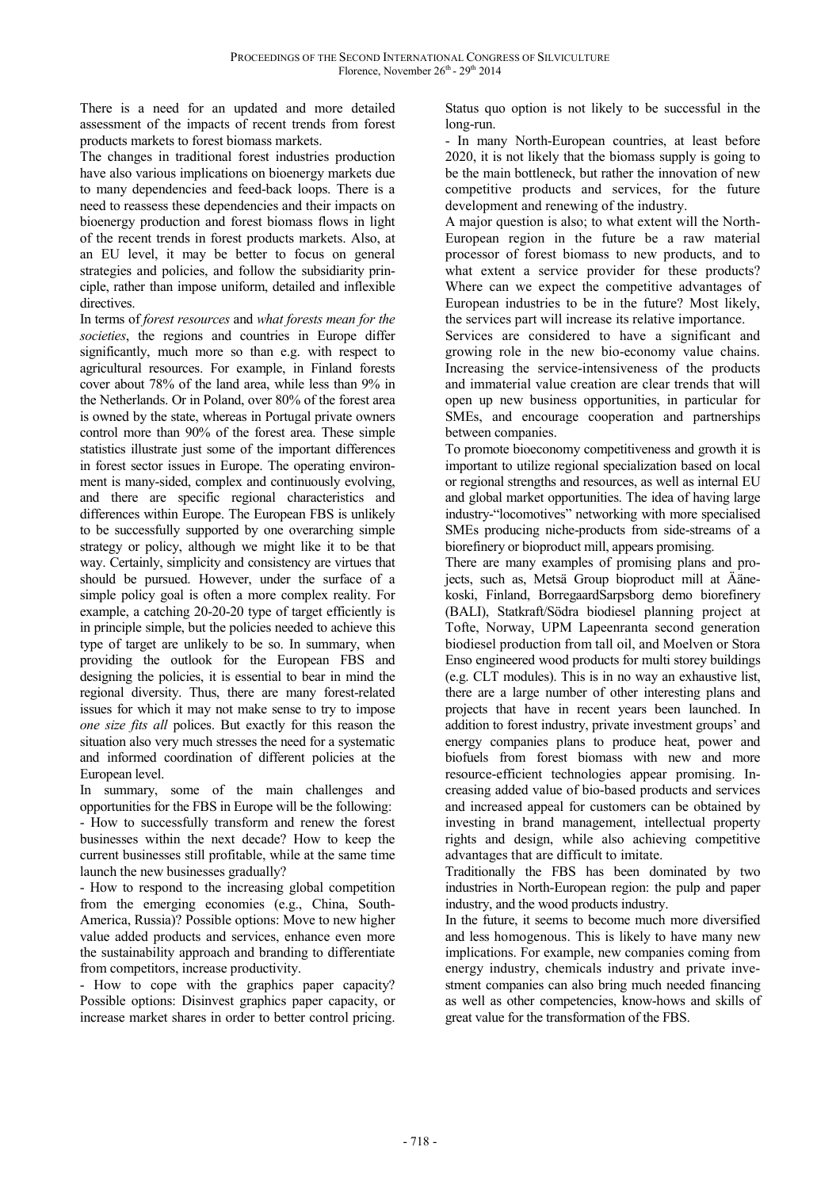There is a need for an updated and more detailed assessment of the impacts of recent trends from forest products markets to forest biomass markets.

The changes in traditional forest industries production have also various implications on bioenergy markets due to many dependencies and feed-back loops. There is a need to reassess these dependencies and their impacts on bioenergy production and forest biomass flows in light of the recent trends in forest products markets. Also, at an EU level, it may be better to focus on general strategies and policies, and follow the subsidiarity principle, rather than impose uniform, detailed and inflexible directives.

In terms of *forest resources* and *what forests mean for the societies*, the regions and countries in Europe differ significantly, much more so than e.g. with respect to agricultural resources. For example, in Finland forests cover about 78% of the land area, while less than 9% in the Netherlands. Or in Poland, over 80% of the forest area is owned by the state, whereas in Portugal private owners control more than 90% of the forest area. These simple statistics illustrate just some of the important differences in forest sector issues in Europe. The operating environment is many-sided, complex and continuously evolving, and there are specific regional characteristics and differences within Europe. The European FBS is unlikely to be successfully supported by one overarching simple strategy or policy, although we might like it to be that way. Certainly, simplicity and consistency are virtues that should be pursued. However, under the surface of a simple policy goal is often a more complex reality. For example, a catching 20-20-20 type of target efficiently is in principle simple, but the policies needed to achieve this type of target are unlikely to be so. In summary, when providing the outlook for the European FBS and designing the policies, it is essential to bear in mind the regional diversity. Thus, there are many forest-related issues for which it may not make sense to try to impose *one size fits all* polices. But exactly for this reason the situation also very much stresses the need for a systematic and informed coordination of different policies at the European level.

In summary, some of the main challenges and opportunities for the FBS in Europe will be the following: - How to successfully transform and renew the forest businesses within the next decade? How to keep the current businesses still profitable, while at the same time launch the new businesses gradually?

- How to respond to the increasing global competition from the emerging economies (e.g., China, South-America, Russia)? Possible options: Move to new higher value added products and services, enhance even more the sustainability approach and branding to differentiate from competitors, increase productivity.

- How to cope with the graphics paper capacity? Possible options: Disinvest graphics paper capacity, or increase market shares in order to better control pricing.

Status quo option is not likely to be successful in the long-run.

- In many North-European countries, at least before 2020, it is not likely that the biomass supply is going to be the main bottleneck, but rather the innovation of new competitive products and services, for the future development and renewing of the industry.

A major question is also; to what extent will the North-European region in the future be a raw material processor of forest biomass to new products, and to what extent a service provider for these products? Where can we expect the competitive advantages of European industries to be in the future? Most likely, the services part will increase its relative importance.

Services are considered to have a significant and growing role in the new bio-economy value chains. Increasing the service-intensiveness of the products and immaterial value creation are clear trends that will open up new business opportunities, in particular for SMEs, and encourage cooperation and partnerships between companies.

To promote bioeconomy competitiveness and growth it is important to utilize regional specialization based on local or regional strengths and resources, as well as internal EU and global market opportunities. The idea of having large industry-"locomotives" networking with more specialised SMEs producing niche-products from side-streams of a biorefinery or bioproduct mill, appears promising.

There are many examples of promising plans and projects, such as, Metsä Group bioproduct mill at Äänekoski, Finland, BorregaardSarpsborg demo biorefinery (BALI), Statkraft/Södra biodiesel planning project at Tofte, Norway, UPM Lapeenranta second generation biodiesel production from tall oil, and Moelven or Stora Enso engineered wood products for multi storey buildings (e.g. CLT modules). This is in no way an exhaustive list, there are a large number of other interesting plans and projects that have in recent years been launched. In addition to forest industry, private investment groups' and energy companies plans to produce heat, power and biofuels from forest biomass with new and more resource-efficient technologies appear promising. Increasing added value of bio-based products and services and increased appeal for customers can be obtained by investing in brand management, intellectual property rights and design, while also achieving competitive advantages that are difficult to imitate.

Traditionally the FBS has been dominated by two industries in North-European region: the pulp and paper industry, and the wood products industry.

In the future, it seems to become much more diversified and less homogenous. This is likely to have many new implications. For example, new companies coming from energy industry, chemicals industry and private investment companies can also bring much needed financing as well as other competencies, know-hows and skills of great value for the transformation of the FBS.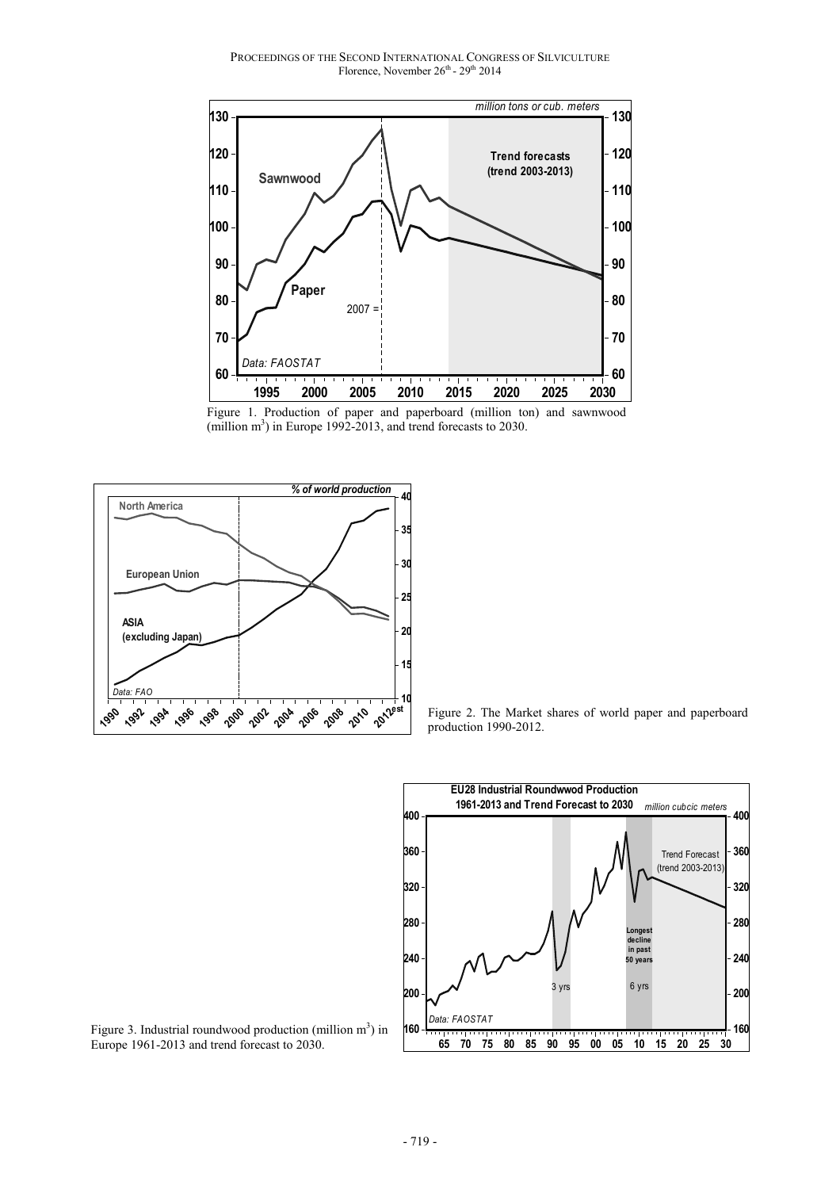PROCEEDINGS OF THE SECOND INTERNATIONAL CONGRESS OF SILVICULTURE Florence, November 26<sup>th</sup> - 29<sup>th</sup> 2014







Figure 2. The Market shares of world paper and paperboard production 1990-2012.



Figure 3. Industrial roundwood production (million  $m<sup>3</sup>$ ) in Europe 1961-2013 and trend forecast to 2030.